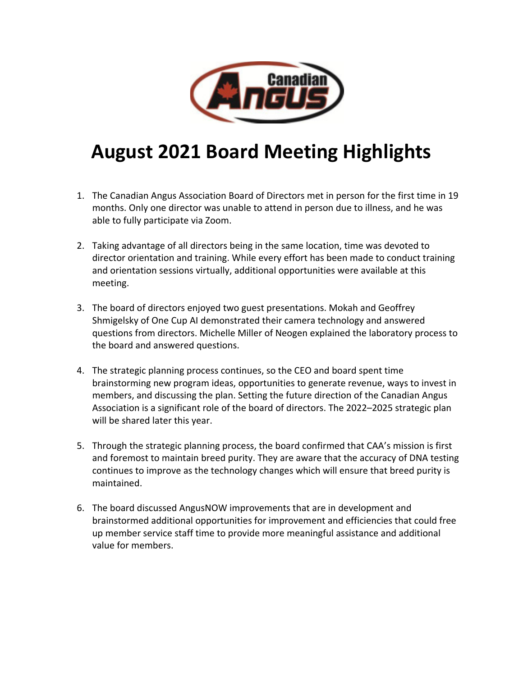

## **August 2021 Board Meeting Highlights**

- 1. The Canadian Angus Association Board of Directors met in person for the first time in 19 months. Only one director was unable to attend in person due to illness, and he was able to fully participate via Zoom.
- 2. Taking advantage of all directors being in the same location, time was devoted to director orientation and training. While every effort has been made to conduct training and orientation sessions virtually, additional opportunities were available at this meeting.
- 3. The board of directors enjoyed two guest presentations. Mokah and Geoffrey Shmigelsky of One Cup AI demonstrated their camera technology and answered questions from directors. Michelle Miller of Neogen explained the laboratory process to the board and answered questions.
- 4. The strategic planning process continues, so the CEO and board spent time brainstorming new program ideas, opportunities to generate revenue, ways to invest in members, and discussing the plan. Setting the future direction of the Canadian Angus Association is a significant role of the board of directors. The 2022–2025 strategic plan will be shared later this year.
- 5. Through the strategic planning process, the board confirmed that CAA's mission is first and foremost to maintain breed purity. They are aware that the accuracy of DNA testing continues to improve as the technology changes which will ensure that breed purity is maintained.
- 6. The board discussed AngusNOW improvements that are in development and brainstormed additional opportunities for improvement and efficiencies that could free up member service staff time to provide more meaningful assistance and additional value for members.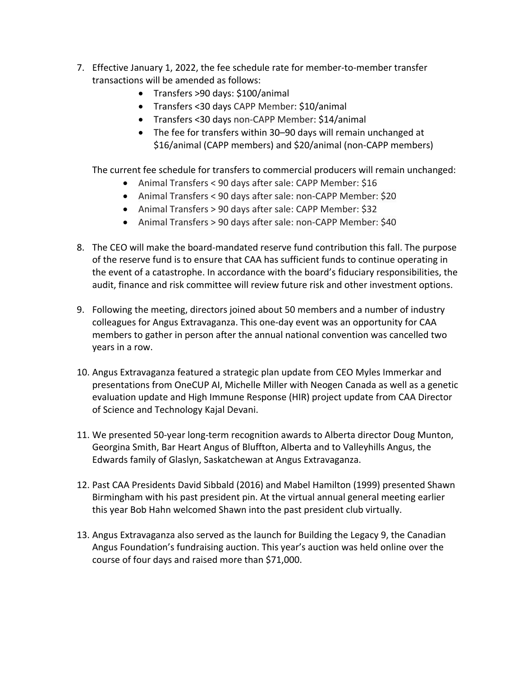- 7. Effective January 1, 2022, the fee schedule rate for member-to-member transfer transactions will be amended as follows:
	- Transfers >90 days: \$100/animal
	- Transfers <30 days CAPP Member: \$10/animal
	- Transfers <30 days non-CAPP Member: \$14/animal
	- The fee for transfers within 30–90 days will remain unchanged at \$16/animal (CAPP members) and \$20/animal (non-CAPP members)

The current fee schedule for transfers to commercial producers will remain unchanged:

- Animal Transfers < 90 days after sale: CAPP Member: \$16
- Animal Transfers < 90 days after sale: non-CAPP Member: \$20
- Animal Transfers > 90 days after sale: CAPP Member: \$32
- Animal Transfers > 90 days after sale: non-CAPP Member: \$40
- 8. The CEO will make the board-mandated reserve fund contribution this fall. The purpose of the reserve fund is to ensure that CAA has sufficient funds to continue operating in the event of a catastrophe. In accordance with the board's fiduciary responsibilities, the audit, finance and risk committee will review future risk and other investment options.
- 9. Following the meeting, directors joined about 50 members and a number of industry colleagues for Angus Extravaganza. This one-day event was an opportunity for CAA members to gather in person after the annual national convention was cancelled two years in a row.
- 10. Angus Extravaganza featured a strategic plan update from CEO Myles Immerkar and presentations from OneCUP AI, Michelle Miller with Neogen Canada as well as a genetic evaluation update and High Immune Response (HIR) project update from CAA Director of Science and Technology Kajal Devani.
- 11. We presented 50-year long-term recognition awards to Alberta director Doug Munton, Georgina Smith, Bar Heart Angus of Bluffton, Alberta and to Valleyhills Angus, the Edwards family of Glaslyn, Saskatchewan at Angus Extravaganza.
- 12. Past CAA Presidents David Sibbald (2016) and Mabel Hamilton (1999) presented Shawn Birmingham with his past president pin. At the virtual annual general meeting earlier this year Bob Hahn welcomed Shawn into the past president club virtually.
- 13. Angus Extravaganza also served as the launch for Building the Legacy 9, the Canadian Angus Foundation's fundraising auction. This year's auction was held online over the course of four days and raised more than \$71,000.